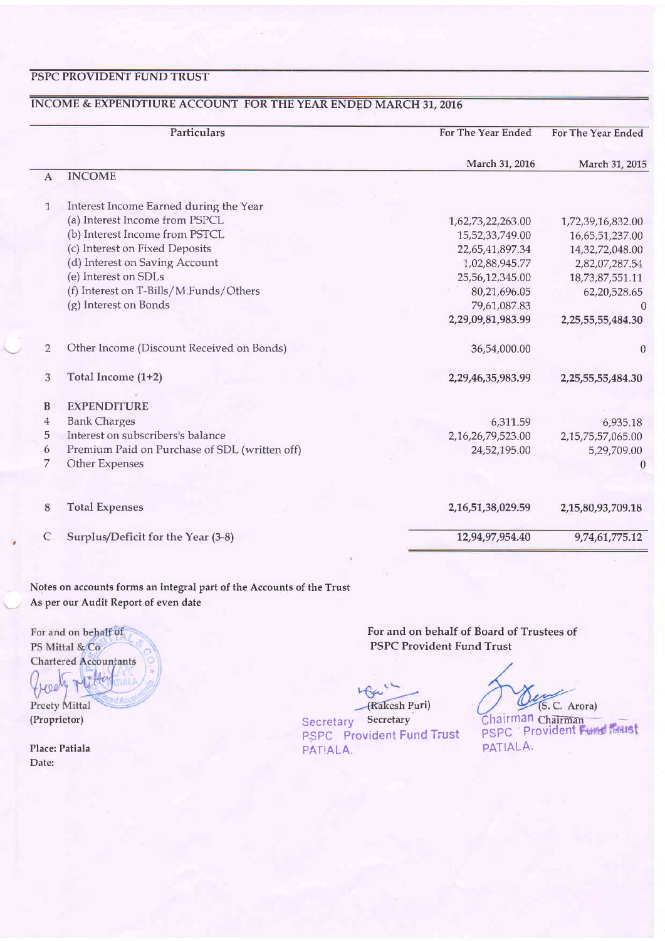### PSPC PROVIDENT FUND TRUST

# INCOME & EXPENDTIURE ACCOUNT FOR THE YEAR ENDED MARCH 31, 2016

|                | Particulars                                   | For The Year Ended     | For The Year Ended |
|----------------|-----------------------------------------------|------------------------|--------------------|
|                |                                               | March 31, 2016         | March 31, 2015     |
| $\mathbf{A}$   | <b>INCOME</b>                                 |                        |                    |
| $\mathbf{1}$   | Interest Income Earned during the Year        |                        |                    |
|                | (a) Interest Income from PSPCL                | 1,62,73,22,263.00      | 1,72,39,16,832.00  |
|                | (b) Interest Income from PSTCL                | 15,52,33,749.00        | 16,65,51,237.00    |
|                | (c) Interest on Fixed Deposits                | 22,65,41,897.34        | 14,32,72,048.00    |
|                | (d) Interest on Saving Account                | 1,02,88,945.77         | 2,82,07,287.54     |
|                | (e) Interest on SDLs                          | 25,56,12,345.00        | 18,73,87,551.11    |
|                | (f) Interest on T-Bills/M.Funds/Others        | 80,21,696.05           | 62,20,528.65       |
|                | (g) Interest on Bonds                         | 79,61,087.83           | $\Omega$           |
|                |                                               | 2,29,09,81,983.99      | 2,25,55,55,484.30  |
| $\overline{2}$ | Other Income (Discount Received on Bonds)     | 36,54,000.00           | $\theta$           |
| 3              | Total Income (1+2)                            | 2,29,46,35,983.99      | 2,25,55,55,484.30  |
| B              | <b>EXPENDITURE</b>                            |                        |                    |
| $\overline{4}$ | <b>Bank Charges</b>                           | 6,311.59               | 6,935.18           |
| 5              | Interest on subscribers's balance             | 2,16,26,79,523.00      | 2,15,75,57,065.00  |
| 6              | Premium Paid on Purchase of SDL (written off) | 24,52,195.00           | 5,29,709.00        |
| 7              | Other Expenses                                |                        | $\theta$           |
|                |                                               |                        |                    |
| 8              | <b>Total Expenses</b>                         | 2, 16, 51, 38, 029. 59 | 2,15,80,93,709.18  |
| C              | Surplus/Deficit for the Year (3-8)            | 12,94,97,954.40        | 9,74,61,775.12     |

Notes on accounts forms an integral part of the Accounts of the Trust As per our Audit Report of even date

For and on behalf of PS Mittal & Co Chartered Accountants  $H_0$ Preety Mittal (Proprietor)

Place: Patiala Date:

For and on behalf of Board of Trustees of PSPC Provident Fund Trust

(Rakesh Puri)

Secretary Secretary PSPC Provident Fund Trust PATIALA.

(S. C. Arora)

PSPC Providen PATIALA. hairman Chairman.<sup>--</sup>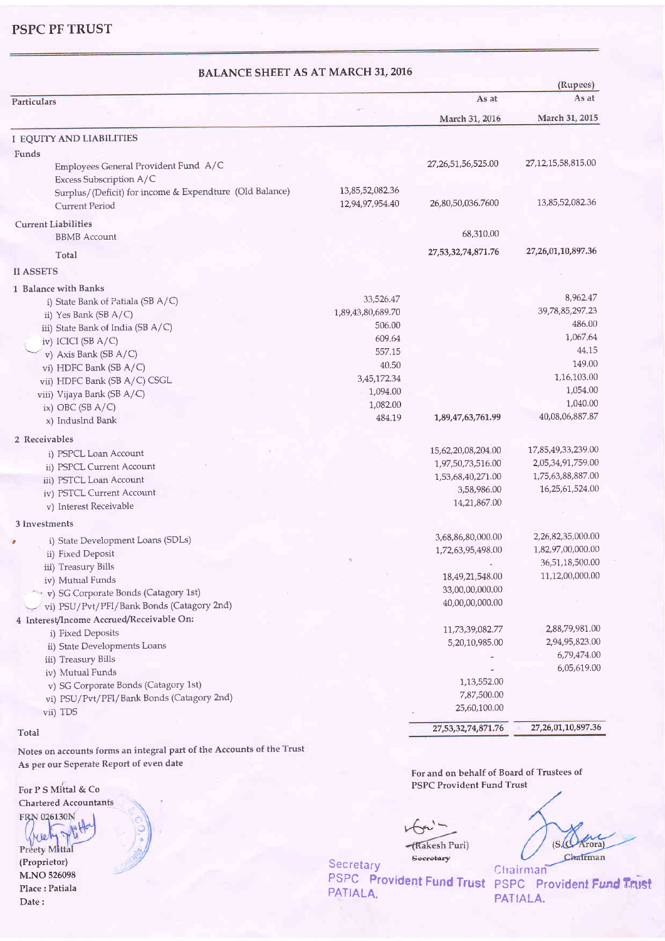PSPC PF TRUST

| <b>BALANCE SHEET AS AT MARCH 31, 2016</b>                       |                   |                         | (Rupees)                |
|-----------------------------------------------------------------|-------------------|-------------------------|-------------------------|
| Particulars                                                     |                   | As at                   | As at                   |
|                                                                 |                   | March 31, 2016          | March 31, 2015          |
| <b>I EQUITY AND LIABILITIES</b>                                 |                   |                         |                         |
| Funds                                                           |                   |                         |                         |
| Employees General Provident Fund A/C<br>Excess Subscription A/C |                   | 27, 26, 51, 56, 525. 00 | 27, 12, 15, 58, 815.00  |
| Surplus/(Deficit) for income & Expendture (Old Balance)         | 13,85,52,082.36   |                         |                         |
| <b>Current Period</b>                                           | 12,94,97,954.40   | 26,80,50,036.7600       | 13,85,52,082.36         |
| <b>Current Liabilities</b>                                      |                   |                         |                         |
| <b>BBMB</b> Account                                             |                   | 68,310,00               |                         |
| Total                                                           |                   | 27,53,32,74,871.76      | 27, 26, 01, 10, 897. 36 |
| <b>II ASSETS</b>                                                |                   |                         |                         |
| 1 Balance with Banks                                            |                   |                         |                         |
| i) State Bank of Patiala (SB A/C)                               | 33,526.47         |                         | 8,962.47                |
| ii) Yes Bank (SB A/C)                                           | 1,89,43,80,689.70 |                         | 39,78,85,297.23         |
| iii) State Bank of India (SB A/C)                               | 506.00            |                         | 486.00                  |
| iv) ICICI (SB A/C)                                              | 609.64            |                         | 1,067.64                |
| v) Axis Bank (SB A/C)                                           | 557.15            |                         | 44.15                   |
| vi) HDFC Bank (SB A/C)                                          | 40.50             |                         | 149.00                  |
| vii) HDFC Bank (SB A/C) CSGL                                    | 3,45,172.34       |                         | 1,16,103.00             |
| viii) Vijaya Bank (SB A/C)                                      | 1,094.00          |                         | 1,054.00                |
| ix) OBC (SB $A/C$ )                                             | 1,082.00          |                         | 1,040.00                |
| x) Induslnd Bank                                                | 484.19            | 1,89,47,63,761.99       | 40,08,06,887.87         |
| 2 Receivables                                                   |                   |                         |                         |
| i) PSPCL Loan Account                                           |                   | 15,62,20,08,204.00      | 17,85,49,33,239.00      |
| ii) PSPCL Current Account                                       |                   | 1,97,50,73,516.00       | 2,05,34,91,759.00       |
| iii) PSTCL Loan Account                                         |                   | 1,53,68,40,271.00       | 1,75,63,88,887.00       |
| iv) PSTCL Current Account                                       |                   | 3,58,986.00             | 16,25,61,524.00         |
| v) Interest Receivable                                          |                   | 14,21,867.00            |                         |
| 3 Investments                                                   |                   |                         |                         |
| i) State Development Loans (SDLs)                               |                   | 3,68,86,80,000.00       | 2,26,82,35,000.00       |
| ii) Fixed Deposit                                               |                   | 1,72,63,95,498.00       | 1,82,97,00,000.00       |
| iii) Treasury Bills                                             |                   |                         | 36,51,18,500.00         |
| iv) Mutual Funds                                                |                   | 18,49,21,548.00         | 11,12,00,000.00         |
| v) SG Corporate Bonds (Catagory 1st)                            |                   | 33,00,00,000.00         |                         |
| vi) PSU/Pvt/PFI/Bank Bonds (Catagory 2nd)                       |                   | 40,00,00,000.00         |                         |
| 4 Interest/Income Accrued/Receivable On:                        |                   |                         |                         |
| i) Fixed Deposits                                               |                   | 11,73,39,082.77         | 2,88,79,981.00          |
| ii) State Developments Loans                                    |                   | 5,20,10,985.00          | 2,94,95,823.00          |
| iii) Treasury Bills                                             |                   |                         | 6,79,474.00             |
|                                                                 |                   |                         | 6,05,619.00             |
| iv) Mutual Funds<br>v) SG Corporate Bonds (Catagory 1st)        |                   | 1,13,552.00             |                         |
|                                                                 |                   | 7,87,500.00             |                         |
| vi) PSU/Pvt/PFI/Bank Bonds (Catagory 2nd)                       |                   | 25,60,100.00            |                         |
| vii) TDS                                                        |                   | 27,53,32,74,871.76      | 27, 26, 01, 10, 897. 36 |

#### Total

Notes on accounts forms an integral part of the Accounts of the Trust As per our Seperate Report of even date

Chartered Accountants FRN 026130N

Ne Preety Mittal (Proprietor) M.NO 526098 Place : Patiala

Date :

For and on behalf of Board of Trustees of PSPC Provident Fund Trust For P S Mittal & Co

 $H -$ -(Rakesh Puri)

Secretary

**Secretary** PATIALA.

 $(S. \overbrace{C}$ Arora) Chairman Chairman

PSPC Provident Fund Trust PSPC Provident Fund Trust PATIALA.